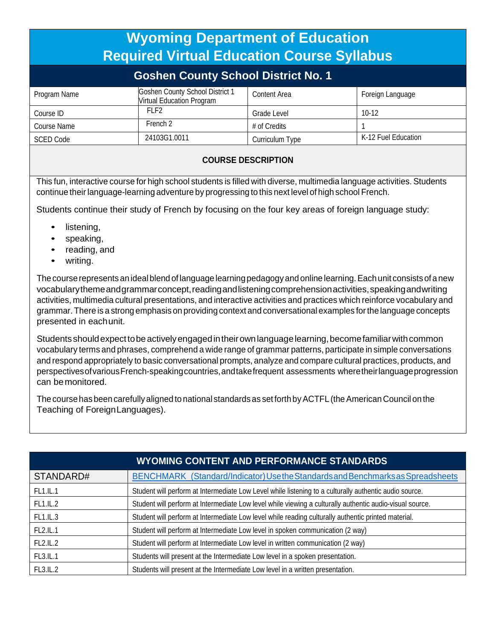|                                            | <b>Wyoming Department of Education</b><br><b>Required Virtual Education Course Syllabus</b> |                 |                     |  |  |  |  |  |
|--------------------------------------------|---------------------------------------------------------------------------------------------|-----------------|---------------------|--|--|--|--|--|
| <b>Goshen County School District No. 1</b> |                                                                                             |                 |                     |  |  |  |  |  |
| Program Name                               | Goshen County School District 1<br>Virtual Education Program                                | Content Area    | Foreign Language    |  |  |  |  |  |
| Course ID                                  | FI F2                                                                                       | Grade Level     | $10-12$             |  |  |  |  |  |
| Course Name                                | French 2                                                                                    | # of Credits    |                     |  |  |  |  |  |
| <b>SCED Code</b>                           | 24103G1.0011                                                                                | Curriculum Type | K-12 Fuel Education |  |  |  |  |  |
| AAURAF REAARIREIAU                         |                                                                                             |                 |                     |  |  |  |  |  |

## **COURSE DESCRIPTION**

This fun, interactive course for high school students is filled with diverse, multimedia language activities. Students continue theirlanguage-learning adventure by progressing to this next level of high school French.

Students continue their study of French by focusing on the four key areas of foreign language study:

- listening,
- speaking,
- reading, and
- writing.

The course represents an ideal blend of language learning pedagogy and online learning. Each unit consists of a new vocabularythemeandgrammarconcept,readingandlisteningcomprehensionactivities,speakingandwriting activities, multimedia cultural presentations, and interactive activities and practices which reinforce vocabulary and grammar. There is a strong emphasis on providing context and conversational examples forthe language concepts presented in eachunit.

Studentsshouldexpecttobeactivelyengagedintheirownlanguagelearning,becomefamiliarwithcommon vocabulary terms and phrases, comprehend a wide range of grammar patterns, participate in simple conversations and respond appropriately to basic conversational prompts, analyze and compare cultural practices, products, and perspectivesofvariousFrench-speakingcountries,andtakefrequent assessments wheretheirlanguageprogression can be monitored.

The course has been carefully aligned to national standards as set forth by ACTFL (the American Council on the Teaching of ForeignLanguages).

| <b>WYOMING CONTENT AND PERFORMANCE STANDARDS</b> |                                                                                                          |  |  |  |  |
|--------------------------------------------------|----------------------------------------------------------------------------------------------------------|--|--|--|--|
| STANDARD#                                        | BENCHMARK_(Standard/Indicator) Use the Standards and Benchmarks as Spreadsheets                          |  |  |  |  |
| <b>FL1.IL.1</b>                                  | Student will perform at Intermediate Low Level while listening to a culturally authentic audio source.   |  |  |  |  |
| FL1.IL.2                                         | Student will perform at Intermediate Low level while viewing a culturally authentic audio-visual source. |  |  |  |  |
| FL1.IL.3                                         | Student will perform at Intermediate Low level while reading culturally authentic printed material.      |  |  |  |  |
| FL2.IL.1                                         | Student will perform at Intermediate Low level in spoken communication (2 way)                           |  |  |  |  |
| FL2.IL.2                                         | Student will perform at Intermediate Low level in written communication (2 way)                          |  |  |  |  |
| FL3.IL.1                                         | Students will present at the Intermediate Low level in a spoken presentation.                            |  |  |  |  |
| FL3.IL.2                                         | Students will present at the Intermediate Low level in a written presentation.                           |  |  |  |  |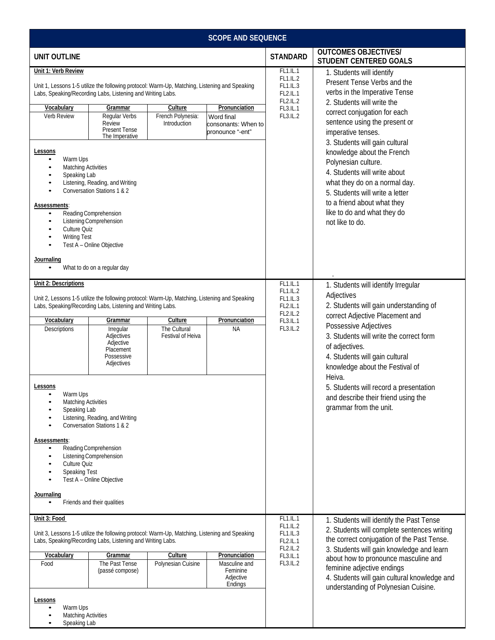| <b>SCOPE AND SEQUENCE</b>                                                                                                                                                                                                |                                                                                                                                                                                |                                   |                                                                        |                                                                                                                                        |                                                                                                                                                                                                                                        |  |
|--------------------------------------------------------------------------------------------------------------------------------------------------------------------------------------------------------------------------|--------------------------------------------------------------------------------------------------------------------------------------------------------------------------------|-----------------------------------|------------------------------------------------------------------------|----------------------------------------------------------------------------------------------------------------------------------------|----------------------------------------------------------------------------------------------------------------------------------------------------------------------------------------------------------------------------------------|--|
| <b>UNIT OUTLINE</b>                                                                                                                                                                                                      |                                                                                                                                                                                |                                   |                                                                        | <b>STANDARD</b>                                                                                                                        | <b>OUTCOMES OBJECTIVES/</b><br>STUDENT CENTERED GOALS                                                                                                                                                                                  |  |
| Unit 1: Verb Review                                                                                                                                                                                                      |                                                                                                                                                                                |                                   |                                                                        | <b>FL1.IL.1</b><br>FL1.IL.2                                                                                                            | 1. Students will identify                                                                                                                                                                                                              |  |
|                                                                                                                                                                                                                          | Unit 1, Lessons 1-5 utilize the following protocol: Warm-Up, Matching, Listening and Speaking<br>Labs, Speaking/Recording Labs, Listening and Writing Labs.                    |                                   | FL1.IL.3<br>FL2.IL.1<br>FL2.IL.2                                       | Present Tense Verbs and the<br>verbs in the Imperative Tense<br>2. Students will write the                                             |                                                                                                                                                                                                                                        |  |
| Vocabulary                                                                                                                                                                                                               | Grammar                                                                                                                                                                        | Culture                           | Pronunciation                                                          | FL3.IL.1                                                                                                                               | correct conjugation for each                                                                                                                                                                                                           |  |
| Verb Review                                                                                                                                                                                                              | Regular Verbs<br>Review<br><b>Present Tense</b><br>The Imperative                                                                                                              | French Polynesia:<br>Introduction | Word final<br>consonants: When to<br>pronounce "-ent"                  | FL3.IL.2                                                                                                                               | sentence using the present or<br>imperative tenses.<br>3. Students will gain cultural                                                                                                                                                  |  |
| Lessons<br>Warm Ups<br>٠<br><b>Matching Activities</b><br>Speaking Lab<br>٠<br>$\bullet$<br>$\bullet$<br><b>Assessments:</b><br>$\bullet$<br>$\bullet$<br>Culture Quiz<br><b>Writing Test</b><br>$\bullet$<br>Journaling | Listening, Reading, and Writing<br>Conversation Stations 1 & 2<br>Reading Comprehension<br>Listening Comprehension<br>Test A - Online Objective<br>What to do on a regular day |                                   |                                                                        |                                                                                                                                        | knowledge about the French<br>Polynesian culture.<br>4. Students will write about<br>what they do on a normal day.<br>5. Students will write a letter<br>to a friend about what they<br>like to do and what they do<br>not like to do. |  |
| Unit 2: Descriptions                                                                                                                                                                                                     | Unit 2, Lessons 1-5 utilize the following protocol: Warm-Up, Matching, Listening and Speaking<br>Labs, Speaking/Recording Labs, Listening and Writing Labs.                    |                                   | FL1.IL.1<br><b>FL1.IL.2</b><br>FL1.IL.3<br>FL2.IL.1<br><b>FL2.IL.2</b> | 1. Students will identify Irregular<br>Adjectives<br>2. Students will gain understanding of<br>correct Adjective Placement and         |                                                                                                                                                                                                                                        |  |
| Vocabulary                                                                                                                                                                                                               | Grammar                                                                                                                                                                        | Culture                           | Pronunciation                                                          | FL3.IL.1                                                                                                                               | Possessive Adjectives                                                                                                                                                                                                                  |  |
| Descriptions                                                                                                                                                                                                             | Irregular<br>Adjectives<br>Adjective<br>Placement<br>Possessive<br>Adjectives                                                                                                  | The Cultural<br>Festival of Heiva | ΝA                                                                     | FL3.IL.2                                                                                                                               | 3. Students will write the correct form<br>of adjectives.<br>4. Students will gain cultural<br>knowledge about the Festival of                                                                                                         |  |
| Lessons<br>Warm Ups<br><b>Matching Activities</b><br>٠<br>Speaking Lab                                                                                                                                                   | Listening, Reading, and Writing<br>Conversation Stations 1 & 2                                                                                                                 |                                   |                                                                        |                                                                                                                                        | Heiva.<br>5. Students will record a presentation<br>and describe their friend using the<br>grammar from the unit.                                                                                                                      |  |
| Assessments:<br>$\bullet$<br>Culture Quiz<br>٠<br>Speaking Test                                                                                                                                                          | Reading Comprehension<br>Listening Comprehension<br>Test A - Online Objective                                                                                                  |                                   |                                                                        |                                                                                                                                        |                                                                                                                                                                                                                                        |  |
| Journaling                                                                                                                                                                                                               | Friends and their qualities                                                                                                                                                    |                                   |                                                                        |                                                                                                                                        |                                                                                                                                                                                                                                        |  |
| Unit 3: Food                                                                                                                                                                                                             |                                                                                                                                                                                |                                   |                                                                        | FL1.IL.1<br>FL1.IL.2                                                                                                                   | 1. Students will identify the Past Tense                                                                                                                                                                                               |  |
|                                                                                                                                                                                                                          | Unit 3, Lessons 1-5 utilize the following protocol: Warm-Up, Matching, Listening and Speaking<br>Labs, Speaking/Recording Labs, Listening and Writing Labs.                    |                                   | FL1.IL.3<br>FL2.IL.1<br>FL2.IL.2                                       | 2. Students will complete sentences writing<br>the correct conjugation of the Past Tense.<br>3. Students will gain knowledge and learn |                                                                                                                                                                                                                                        |  |
| Vocabulary                                                                                                                                                                                                               | Grammar                                                                                                                                                                        | Culture                           | Pronunciation                                                          | FL3.IL.1                                                                                                                               | about how to pronounce masculine and                                                                                                                                                                                                   |  |
| Food                                                                                                                                                                                                                     | The Past Tense<br>(passé compose)                                                                                                                                              | Polynesian Cuisine                | Masculine and<br>Feminine<br>Adjective<br>Endings                      | FL3.IL.2                                                                                                                               | feminine adjective endings<br>4. Students will gain cultural knowledge and<br>understanding of Polynesian Cuisine.                                                                                                                     |  |
| Lessons<br>Warm Ups<br>٠<br><b>Matching Activities</b><br>٠<br>Speaking Lab<br>٠                                                                                                                                         |                                                                                                                                                                                |                                   |                                                                        |                                                                                                                                        |                                                                                                                                                                                                                                        |  |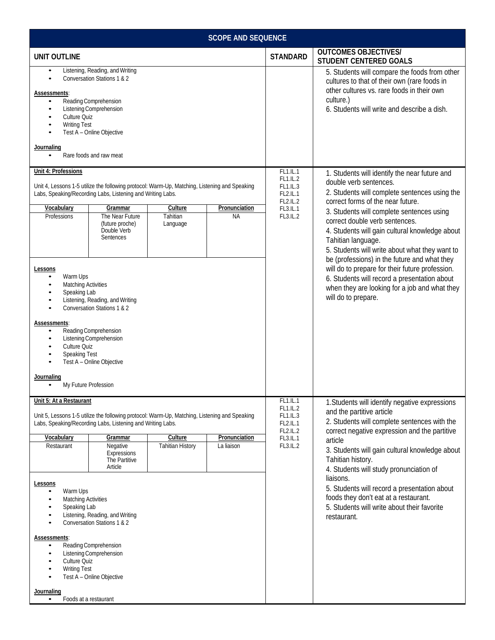| <b>SCOPE AND SEQUENCE</b>                                                                                                                                                                                                                                                                                                                                                  |                                                                                    |                                                                                                                                                                                                                                                                                                                       |
|----------------------------------------------------------------------------------------------------------------------------------------------------------------------------------------------------------------------------------------------------------------------------------------------------------------------------------------------------------------------------|------------------------------------------------------------------------------------|-----------------------------------------------------------------------------------------------------------------------------------------------------------------------------------------------------------------------------------------------------------------------------------------------------------------------|
| <b>UNIT OUTLINE</b>                                                                                                                                                                                                                                                                                                                                                        | <b>STANDARD</b>                                                                    | <b>OUTCOMES OBJECTIVES/</b><br><b>STUDENT CENTERED GOALS</b>                                                                                                                                                                                                                                                          |
| Listening, Reading, and Writing<br>$\bullet$<br>Conversation Stations 1 & 2<br>Assessments:<br>Reading Comprehension<br>Listening Comprehension<br>$\bullet$<br>Culture Quiz<br><b>Writing Test</b><br>Test A - Online Objective<br>Journaling<br>Rare foods and raw meat                                                                                                  |                                                                                    | 5. Students will compare the foods from other<br>cultures to that of their own (rare foods in<br>other cultures vs. rare foods in their own<br>culture.)<br>6. Students will write and describe a dish.                                                                                                               |
| Unit 4: Professions                                                                                                                                                                                                                                                                                                                                                        | FL1.IL.1                                                                           | 1. Students will identify the near future and                                                                                                                                                                                                                                                                         |
| Unit 4, Lessons 1-5 utilize the following protocol: Warm-Up, Matching, Listening and Speaking<br>Labs, Speaking/Recording Labs, Listening and Writing Labs.<br>Pronunciation<br>Vocabulary<br>Culture<br>Grammar<br>Tahitian<br>Professions<br>The Near Future<br><b>NA</b><br>(future proche)<br>Language<br>Double Verb<br>Sentences                                     | <b>FL1.IL.2</b><br>FL1.IL.3<br>FL2.IL.1<br><b>FL2.IL.2</b><br>FL3.IL.1<br>FL3.IL.2 | double verb sentences.<br>2. Students will complete sentences using the<br>correct forms of the near future.<br>3. Students will complete sentences using<br>correct double verb sentences.<br>4. Students will gain cultural knowledge about<br>Tahitian language.<br>5. Students will write about what they want to |
| Lessons<br>Warm Ups<br>٠<br><b>Matching Activities</b><br>٠<br>Speaking Lab<br>$\bullet$<br>Listening, Reading, and Writing<br>$\bullet$<br>Conversation Stations 1 & 2<br>Assessments:<br>Reading Comprehension<br>$\bullet$<br>Listening Comprehension<br>٠<br>Culture Quiz<br>Speaking Test<br>Test A - Online Objective<br>Journaling<br>My Future Profession<br>٠     |                                                                                    | be (professions) in the future and what they<br>will do to prepare for their future profession.<br>6. Students will record a presentation about<br>when they are looking for a job and what they<br>will do to prepare.                                                                                               |
| Unit 5: At a Restaurant<br>Unit 5, Lessons 1-5 utilize the following protocol: Warm-Up, Matching, Listening and Speaking<br>Labs, Speaking/Recording Labs, Listening and Writing Labs.                                                                                                                                                                                     | FL1.L.1<br>FL1.IL.2<br>FL1.IL.3<br>FL2.IL.1                                        | 1. Students will identify negative expressions<br>and the partitive article<br>2. Students will complete sentences with the                                                                                                                                                                                           |
| Culture<br>Pronunciation<br>Vocabulary<br>Grammar                                                                                                                                                                                                                                                                                                                          | <b>FL2.IL.2</b><br>FL3.IL.1                                                        | correct negative expression and the partitive<br>article                                                                                                                                                                                                                                                              |
| <b>Tahitian History</b><br>Restaurant<br>Negative<br>La liaison<br>Expressions<br>The Partitive<br>Article                                                                                                                                                                                                                                                                 | FL3.IL.2                                                                           | 3. Students will gain cultural knowledge about<br>Tahitian history.<br>4. Students will study pronunciation of                                                                                                                                                                                                        |
| Lessons<br>Warm Ups<br><b>Matching Activities</b><br>Speaking Lab<br>Listening, Reading, and Writing<br>Conversation Stations 1 & 2<br>$\bullet$<br><u>Assessments:</u><br>Reading Comprehension<br>٠<br>Listening Comprehension<br>٠<br>Culture Quiz<br><b>Writing Test</b><br>$\bullet$<br>Test A - Online Objective<br>Journaling<br>Foods at a restaurant<br>$\bullet$ |                                                                                    | liaisons.<br>5. Students will record a presentation about<br>foods they don't eat at a restaurant.<br>5. Students will write about their favorite<br>restaurant.                                                                                                                                                      |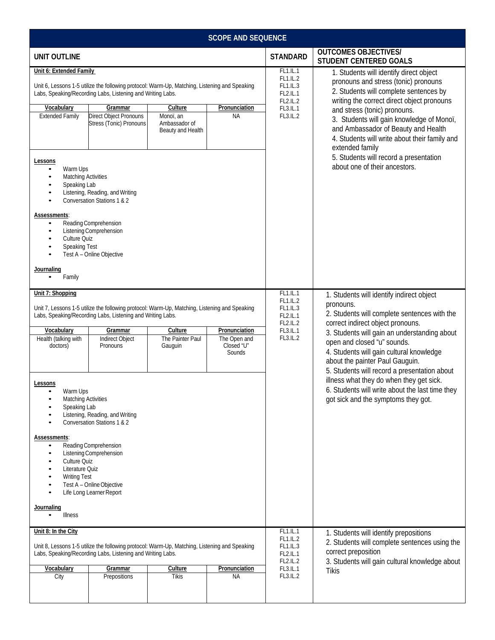| <b>SCOPE AND SEQUENCE</b>                                                                                                                                                                                                           |                                                                                                                                                                             |                                                                                                                                                             |                                                                 |                                                                                                                                             |                                                                                                                                                                                                                                                                                                                                                                                                                                            |  |  |
|-------------------------------------------------------------------------------------------------------------------------------------------------------------------------------------------------------------------------------------|-----------------------------------------------------------------------------------------------------------------------------------------------------------------------------|-------------------------------------------------------------------------------------------------------------------------------------------------------------|-----------------------------------------------------------------|---------------------------------------------------------------------------------------------------------------------------------------------|--------------------------------------------------------------------------------------------------------------------------------------------------------------------------------------------------------------------------------------------------------------------------------------------------------------------------------------------------------------------------------------------------------------------------------------------|--|--|
| <b>UNIT OUTLINE</b>                                                                                                                                                                                                                 |                                                                                                                                                                             |                                                                                                                                                             |                                                                 | <b>STANDARD</b>                                                                                                                             | <b>OUTCOMES OBJECTIVES/</b><br><b>STUDENT CENTERED GOALS</b>                                                                                                                                                                                                                                                                                                                                                                               |  |  |
| Unit 6: Extended Family<br>Vocabulary<br><b>Extended Family</b><br>Lessons                                                                                                                                                          | Labs, Speaking/Recording Labs, Listening and Writing Labs.<br>Grammar<br>Direct Object Pronouns<br>Stress (Tonic) Pronouns                                                  | Unit 6, Lessons 1-5 utilize the following protocol: Warm-Up, Matching, Listening and Speaking<br>Culture<br>Monoï, an<br>Ambassador of<br>Beauty and Health | Pronunciation<br><b>NA</b>                                      | FL1.IL.1<br><b>FL1.IL.2</b><br>FL1.IL.3<br>FL2.IL.1<br><b>FL2.IL.2</b><br>FL3.IL.1<br>FL3.IL.2                                              | 1. Students will identify direct object<br>pronouns and stress (tonic) pronouns<br>2. Students will complete sentences by<br>writing the correct direct object pronouns<br>and stress (tonic) pronouns.<br>3. Students will gain knowledge of Monoï,<br>and Ambassador of Beauty and Health<br>4. Students will write about their family and<br>extended family<br>5. Students will record a presentation<br>about one of their ancestors. |  |  |
| Warm Ups<br>٠<br><b>Matching Activities</b><br>٠<br>Speaking Lab<br>٠<br>$\bullet$<br>٠<br>Assessments:<br>$\bullet$<br>$\bullet$<br>Culture Quiz<br>Speaking Test<br>Journaling<br>Family                                          | Listening, Reading, and Writing<br>Conversation Stations 1 & 2<br>Reading Comprehension<br>Listening Comprehension<br>Test A - Online Objective                             |                                                                                                                                                             |                                                                 |                                                                                                                                             |                                                                                                                                                                                                                                                                                                                                                                                                                                            |  |  |
| Unit 7: Shopping                                                                                                                                                                                                                    | Labs, Speaking/Recording Labs, Listening and Writing Labs.                                                                                                                  | Unit 7, Lessons 1-5 utilize the following protocol: Warm-Up, Matching, Listening and Speaking                                                               | FL1.IL.1<br><b>FL1.IL.2</b><br>FL1.IL.3<br>FL2.IL.1<br>FL2.IL.2 | 1. Students will identify indirect object<br>pronouns.<br>2. Students will complete sentences with the<br>correct indirect object pronouns. |                                                                                                                                                                                                                                                                                                                                                                                                                                            |  |  |
| Vocabulary<br>Health (talking with<br>doctors)                                                                                                                                                                                      | Grammar<br>Indirect Object<br>Pronouns                                                                                                                                      | Culture<br>The Painter Paul<br>Gauguin                                                                                                                      | Pronunciation<br>The Open and<br>Closed "U"<br>Sounds           | FL3.IL.1<br>FL3.IL.2                                                                                                                        | 3. Students will gain an understanding about<br>open and closed "u" sounds.<br>4. Students will gain cultural knowledge<br>about the painter Paul Gauguin.<br>5. Students will record a presentation about                                                                                                                                                                                                                                 |  |  |
| Lessons<br>Warm Ups<br><b>Matching Activities</b><br>٠<br>Speaking Lab<br><b>Assessments:</b><br>٠<br>Culture Quiz<br>$\bullet$<br>Literature Quiz<br>$\bullet$<br><b>Writing Test</b><br>٠<br><u>Journali</u> ng<br><b>Illness</b> | Listening, Reading, and Writing<br>Conversation Stations 1 & 2<br>Reading Comprehension<br>Listening Comprehension<br>Test A - Online Objective<br>Life Long Learner Report |                                                                                                                                                             |                                                                 | illness what they do when they get sick.<br>6. Students will write about the last time they<br>got sick and the symptoms they got.          |                                                                                                                                                                                                                                                                                                                                                                                                                                            |  |  |
| Unit 8: In the City                                                                                                                                                                                                                 |                                                                                                                                                                             |                                                                                                                                                             |                                                                 | FL1.IL.1                                                                                                                                    | 1. Students will identify prepositions                                                                                                                                                                                                                                                                                                                                                                                                     |  |  |
|                                                                                                                                                                                                                                     | Labs, Speaking/Recording Labs, Listening and Writing Labs.                                                                                                                  | Unit 8, Lessons 1-5 utilize the following protocol: Warm-Up, Matching, Listening and Speaking                                                               | FL1.IL.2<br>FL1.IL.3<br>FL2.IL.1<br><b>FL2.IL.2</b>             | 2. Students will complete sentences using the<br>correct preposition<br>3. Students will gain cultural knowledge about                      |                                                                                                                                                                                                                                                                                                                                                                                                                                            |  |  |
| Vocabulary<br>City                                                                                                                                                                                                                  | Grammar<br>Prepositions                                                                                                                                                     | <b>Culture</b><br>Tikis                                                                                                                                     | Pronunciation<br>ΝA                                             | FL3.IL.1<br>FL3.IL.2                                                                                                                        | <b>Tikis</b>                                                                                                                                                                                                                                                                                                                                                                                                                               |  |  |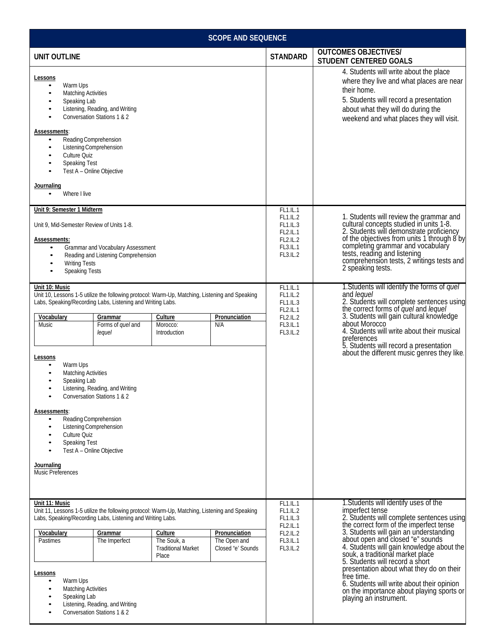|                                                                                                                                                                                                                                                                                                                                                                                                                           |                                                                                                                                       |                                                              | <b>SCOPE AND SEQUENCE</b>                                                                                         |                                                                                                                                                                                                                                                                                                                                                                                                                                                                                          |                                                                                                                                                                                                                                                                                                                                                             |
|---------------------------------------------------------------------------------------------------------------------------------------------------------------------------------------------------------------------------------------------------------------------------------------------------------------------------------------------------------------------------------------------------------------------------|---------------------------------------------------------------------------------------------------------------------------------------|--------------------------------------------------------------|-------------------------------------------------------------------------------------------------------------------|------------------------------------------------------------------------------------------------------------------------------------------------------------------------------------------------------------------------------------------------------------------------------------------------------------------------------------------------------------------------------------------------------------------------------------------------------------------------------------------|-------------------------------------------------------------------------------------------------------------------------------------------------------------------------------------------------------------------------------------------------------------------------------------------------------------------------------------------------------------|
| <b>UNIT OUTLINE</b>                                                                                                                                                                                                                                                                                                                                                                                                       |                                                                                                                                       |                                                              |                                                                                                                   | <b>STANDARD</b>                                                                                                                                                                                                                                                                                                                                                                                                                                                                          | <b>OUTCOMES OBJECTIVES/</b><br><b>STUDENT CENTERED GOALS</b>                                                                                                                                                                                                                                                                                                |
| Lessons<br>Warm Ups<br>$\bullet$<br><b>Matching Activities</b><br>$\bullet$<br>Speaking Lab<br>٠<br>Assessments:<br>Reading Comprehension<br>Listening Comprehension<br>Culture Quiz<br>Speaking Test<br>Journaling<br>Where I live<br>$\bullet$                                                                                                                                                                          | Listening, Reading, and Writing<br>Conversation Stations 1 & 2<br>Test A - Online Objective                                           |                                                              |                                                                                                                   | 4. Students will write about the place<br>where they live and what places are near<br>their home.<br>5. Students will record a presentation<br>about what they will do during the<br>weekend and what places they will visit.                                                                                                                                                                                                                                                            |                                                                                                                                                                                                                                                                                                                                                             |
| Unit 9: Semester 1 Midterm<br>Unit 9, Mid-Semester Review of Units 1-8.<br>Assessments:<br>$\bullet$<br>$\bullet$<br><b>Writing Tests</b><br><b>Speaking Tests</b><br>$\bullet$<br>Unit 10: Music                                                                                                                                                                                                                         | <b>Grammar and Vocabulary Assessment</b><br>Reading and Listening Comprehension                                                       |                                                              | FL1.IL.1<br><b>FL1.IL.2</b><br>FL1.IL.3<br><b>FL2.IL.1</b><br><b>FL2.IL.2</b><br>FL3.IL.1<br>FL3.IL.2<br>FL1.IL.1 | 1. Students will review the grammar and<br>cultural concepts studied in units 1-8.<br>2. Students will demonstrate proficiency<br>of the objectives from units 1 through 8 by<br>completing grammar and vocabulary<br>tests, reading and listening<br>comprehension tests, 2 writings tests and<br>2 speaking tests.<br>1. Students will identify the forms of quel                                                                                                                      |                                                                                                                                                                                                                                                                                                                                                             |
| Unit 10, Lessons 1-5 utilize the following protocol: Warm-Up, Matching, Listening and Speaking<br>Labs, Speaking/Recording Labs, Listening and Writing Labs.<br>Vocabulary<br>Music<br>Lessons<br>Warm Ups<br><b>Matching Activities</b><br>Speaking Lab<br>Assessments:<br>Reading Comprehension<br>Listening Comprehension<br>Culture Quiz<br>Speaking Test<br>Journaling<br><b>Music Preferences</b><br>Unit 11: Music | Grammar<br>Forms of quel and<br>lequel<br>Listening, Reading, and Writing<br>Conversation Stations 1 & 2<br>Test A - Online Objective | Culture<br>Morocco:<br>Introduction                          | Pronunciation<br>N/A                                                                                              | FL1.IL.2<br>FL1.IL.3<br><b>FL2.IL.1</b><br><b>FL2.IL.2</b><br>FL3.IL.1<br>FL3.IL.2<br>FL1.IL.1                                                                                                                                                                                                                                                                                                                                                                                           | and lequel<br>2. Students will complete sentences using<br>the correct forms of quel and lequel<br>3. Students will gain cultural knowledge<br>about Morocco<br>4. Students will write about their musical<br>preferences<br>5. Students will record a presentation<br>about the different music genres they like.<br>1. Students will identify uses of the |
| Unit 11, Lessons 1-5 utilize the following protocol: Warm-Up, Matching, Listening and Speaking<br>Labs, Speaking/Recording Labs, Listening and Writing Labs.<br>Vocabulary<br>Pastimes<br>Lessons<br>Warm Ups<br>$\bullet$<br><b>Matching Activities</b><br>Speaking Lab                                                                                                                                                  | Grammar<br>The Imperfect<br>Listening, Reading, and Writing<br>Conversation Stations 1 & 2                                            | Culture<br>The Souk, a<br><b>Traditional Market</b><br>Place | FL1.IL.2<br>FL1.IL.3<br><b>FL2.IL.1</b><br><b>FL2.IL.2</b><br>FL3.IL.1<br>FL3.IL.2                                | imperfect tense<br>2. Students will complete sentences using<br>the correct form of the imperfect tense<br>3. Students will gain an understanding<br>about open and closed "e" sounds<br>4. Students will gain knowledge about the<br>souk, a traditional market place<br>5. Students will record a short<br>presentation about what they do on their<br>free time.<br>6. Students will write about their opinion<br>on the importance about playing sports or<br>playing an instrument. |                                                                                                                                                                                                                                                                                                                                                             |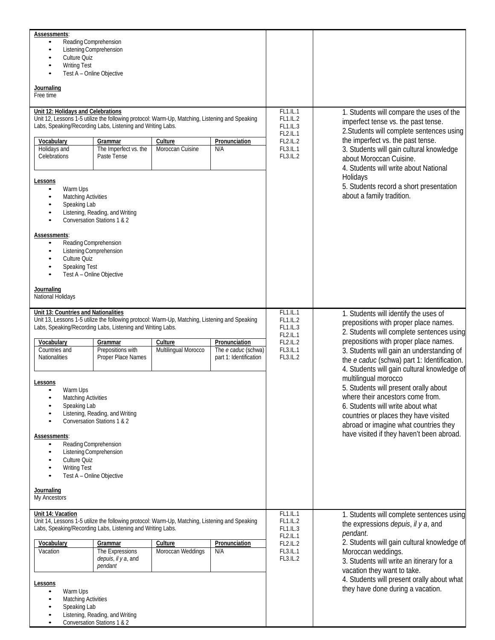| Assessments:<br>Reading Comprehension<br>Listening Comprehension<br>Culture Quiz<br><b>Writing Test</b><br>Journaling<br>Free time                                                                                                                                                                                                                                                                                                                                                                                                                                                                                                                                                                                         | Test A - Online Objective                                                                                                                      |                             |                                                                                         |                                                                                                                                                                                                                                                                                                                                                                                                                                                                                                                                                                                          |                                                                                                                                                                                                                                                                                                                                                                       |
|----------------------------------------------------------------------------------------------------------------------------------------------------------------------------------------------------------------------------------------------------------------------------------------------------------------------------------------------------------------------------------------------------------------------------------------------------------------------------------------------------------------------------------------------------------------------------------------------------------------------------------------------------------------------------------------------------------------------------|------------------------------------------------------------------------------------------------------------------------------------------------|-----------------------------|-----------------------------------------------------------------------------------------|------------------------------------------------------------------------------------------------------------------------------------------------------------------------------------------------------------------------------------------------------------------------------------------------------------------------------------------------------------------------------------------------------------------------------------------------------------------------------------------------------------------------------------------------------------------------------------------|-----------------------------------------------------------------------------------------------------------------------------------------------------------------------------------------------------------------------------------------------------------------------------------------------------------------------------------------------------------------------|
| Unit 12: Holidays and Celebrations<br>Unit 12, Lessons 1-5 utilize the following protocol: Warm-Up, Matching, Listening and Speaking<br>Labs, Speaking/Recording Labs, Listening and Writing Labs.<br>Vocabulary<br>Holidays and<br>Celebrations<br>Lessons<br>Warm Ups<br><b>Matching Activities</b><br>Speaking Lab<br>Assessments:<br>Reading Comprehension<br>$\bullet$<br>Listening Comprehension<br>Culture Quiz<br><b>Speaking Test</b><br>Journaling<br>National Holidays                                                                                                                                                                                                                                          | Grammar<br>The Imperfect vs. the<br>Paste Tense<br>Listening, Reading, and Writing<br>Conversation Stations 1 & 2<br>Test A - Online Objective | Culture<br>Moroccan Cuisine | Pronunciation<br>N/A                                                                    | FL1.IL.1<br>FL1.IL.2<br>FL1.IL.3<br>FL2.IL.1<br><b>FL2.IL.2</b><br>FL3.IL.1<br>FL3.IL.2                                                                                                                                                                                                                                                                                                                                                                                                                                                                                                  | 1. Students will compare the uses of the<br>imperfect tense vs. the past tense.<br>2. Students will complete sentences using<br>the imperfect vs. the past tense.<br>3. Students will gain cultural knowledge<br>about Moroccan Cuisine.<br>4. Students will write about National<br>Holidays<br>5. Students record a short presentation<br>about a family tradition. |
| Unit 13: Countries and Nationalities<br>Unit 13, Lessons 1-5 utilize the following protocol: Warm-Up, Matching, Listening and Speaking<br>Labs, Speaking/Recording Labs, Listening and Writing Labs.<br>Vocabulary<br>Culture<br>Pronunciation<br>Grammar<br>Countries and<br>Prepositions with<br>Multilingual Morocco<br>The e caduc (schwa)<br>Nationalities<br>Proper Place Names<br>part 1: Identification<br>Lessons<br>Warm Ups<br><b>Matching Activities</b><br>Speaking Lab<br>Listening, Reading, and Writing<br>Conversation Stations 1 & 2<br><b>Assessments:</b><br>Reading Comprehension<br>Listening Comprehension<br>Culture Quiz<br><b>Writing Test</b><br>Test A - Online Objective<br><u>Journaling</u> |                                                                                                                                                |                             | FL1.IL.1<br>FL1.IL.2<br>FL1.IL.3<br>FL2.IL.1<br><b>FL2.IL.2</b><br>FL3.IL.1<br>FL3.IL.2 | 1. Students will identify the uses of<br>prepositions with proper place names.<br>2. Students will complete sentences using<br>prepositions with proper place names.<br>3. Students will gain an understanding of<br>the e caduc (schwa) part 1: Identification.<br>4. Students will gain cultural knowledge of<br>multilingual morocco<br>5. Students will present orally about<br>where their ancestors come from.<br>6. Students will write about what<br>countries or places they have visited<br>abroad or imagine what countries they<br>have visited if they haven't been abroad. |                                                                                                                                                                                                                                                                                                                                                                       |
| My Ancestors<br>Unit 14: Vacation<br>Unit 14, Lessons 1-5 utilize the following protocol: Warm-Up, Matching, Listening and Speaking<br>Labs, Speaking/Recording Labs, Listening and Writing Labs.<br>Vocabulary<br>Pronunciation<br>Culture<br><b>Grammar</b><br>Moroccan Weddings<br>The Expressions<br>N/A<br>Vacation<br>depuis, il y a, and<br>pendant<br>Lessons<br>Warm Ups<br><b>Matching Activities</b><br>Speaking Lab<br>Listening, Reading, and Writing<br>Conversation Stations 1 & 2                                                                                                                                                                                                                          |                                                                                                                                                |                             |                                                                                         | <b>FL1.IL.1</b><br>FL1.IL.2<br>FL1.IL.3<br>FL2.IL.1<br>FL2.IL.2<br>FL3.IL.1<br>FL3.IL.2                                                                                                                                                                                                                                                                                                                                                                                                                                                                                                  | 1. Students will complete sentences using<br>the expressions <i>depuis</i> , <i>il</i> y a, and<br>pendant.<br>2. Students will gain cultural knowledge of<br>Moroccan weddings.<br>3. Students will write an itinerary for a<br>vacation they want to take.<br>4. Students will present orally about what<br>they have done during a vacation.                       |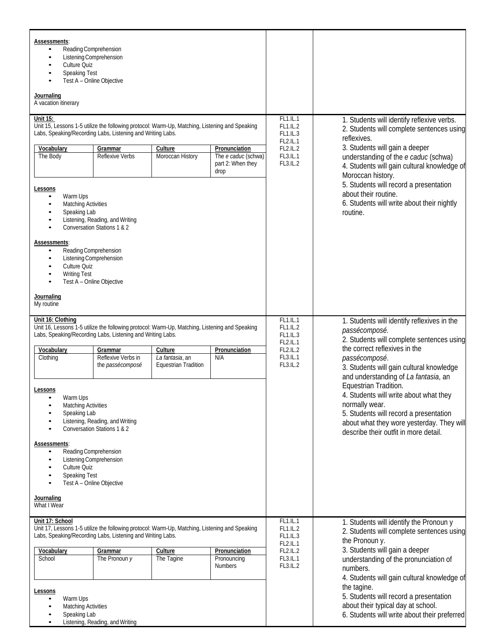| Assessments:<br>Reading Comprehension<br>Listening Comprehension<br>٠<br>Culture Quiz<br>$\bullet$<br>Speaking Test<br>Test A - Online Objective<br>Journaling<br>A vacation itinerary   |                                                                |                                                           |                                                                   |                                                                                                                                                                                                                   |                                                                                                                                            |
|------------------------------------------------------------------------------------------------------------------------------------------------------------------------------------------|----------------------------------------------------------------|-----------------------------------------------------------|-------------------------------------------------------------------|-------------------------------------------------------------------------------------------------------------------------------------------------------------------------------------------------------------------|--------------------------------------------------------------------------------------------------------------------------------------------|
| Unit 15:                                                                                                                                                                                 |                                                                |                                                           |                                                                   | FL1.IL.1                                                                                                                                                                                                          | 1. Students will identify reflexive verbs.                                                                                                 |
| Unit 15, Lessons 1-5 utilize the following protocol: Warm-Up, Matching, Listening and Speaking<br>Labs, Speaking/Recording Labs, Listening and Writing Labs.                             |                                                                |                                                           |                                                                   | FL1.IL.2<br>FL1.IL.3<br>FL2.IL.1                                                                                                                                                                                  | 2. Students will complete sentences using<br>reflexives.                                                                                   |
| Vocabulary<br>The Body                                                                                                                                                                   | Grammar<br><b>Reflexive Verbs</b>                              | Culture<br>Moroccan History                               | Pronunciation<br>The e caduc (schwa)<br>part 2: When they<br>drop | FL2.IL.2<br>FL3.IL.1<br>FL3.IL.2                                                                                                                                                                                  | 3. Students will gain a deeper<br>understanding of the e caduc (schwa)<br>4. Students will gain cultural knowledge of<br>Moroccan history. |
| Lessons<br>Warm Ups<br>٠<br><b>Matching Activities</b><br>٠<br>Speaking Lab<br>٠<br>$\bullet$<br>$\bullet$                                                                               | Listening, Reading, and Writing<br>Conversation Stations 1 & 2 |                                                           |                                                                   |                                                                                                                                                                                                                   | 5. Students will record a presentation<br>about their routine.<br>6. Students will write about their nightly<br>routine.                   |
| Assessments:<br>Reading Comprehension<br>$\bullet$<br>Listening Comprehension<br>$\bullet$<br>Culture Quiz<br>$\bullet$<br><b>Writing Test</b><br>$\bullet$<br>Test A - Online Objective |                                                                |                                                           |                                                                   |                                                                                                                                                                                                                   |                                                                                                                                            |
| Journaling<br>My routine                                                                                                                                                                 |                                                                |                                                           |                                                                   |                                                                                                                                                                                                                   |                                                                                                                                            |
| Unit 16: Clothing<br>Unit 16, Lessons 1-5 utilize the following protocol: Warm-Up, Matching, Listening and Speaking<br>Labs, Speaking/Recording Labs, Listening and Writing Labs.        |                                                                |                                                           |                                                                   | FL1.IL.1<br>FL1.IL.2<br>FL1.IL.3<br>FL2.IL.1                                                                                                                                                                      | 1. Students will identify reflexives in the<br>passécomposé.<br>2. Students will complete sentences using                                  |
| Vocabulary<br>Clothing                                                                                                                                                                   | Grammar<br>Reflexive Verbs in<br>the <i>passécomposé</i>       | Culture<br>La fantasia, an<br><b>Equestrian Tradition</b> | Pronunciation<br>N/A                                              | FL2.IL.2<br>FL3.IL.1<br>FL3.IL.2                                                                                                                                                                                  | the correct reflexives in the<br>passécomposé.<br>3. Students will gain cultural knowledge<br>and understanding of La fantasia, an         |
| Lessons<br>Warm Ups<br>٠<br><b>Matching Activities</b><br>Speaking Lab<br>٠<br>$\bullet$                                                                                                 | Listening, Reading, and Writing<br>Conversation Stations 1 & 2 |                                                           |                                                                   | Equestrian Tradition.<br>4. Students will write about what they<br>normally wear.<br>5. Students will record a presentation<br>about what they wore yesterday. They will<br>describe their outfit in more detail. |                                                                                                                                            |
| Assessments:<br>Reading Comprehension<br>٠<br>Listening Comprehension<br>٠<br>Culture Quiz<br>٠<br><b>Speaking Test</b><br>Test A - Online Objective                                     |                                                                |                                                           |                                                                   |                                                                                                                                                                                                                   |                                                                                                                                            |
| Journaling<br>What I Wear                                                                                                                                                                |                                                                |                                                           |                                                                   |                                                                                                                                                                                                                   |                                                                                                                                            |
| Unit 17: School<br>Unit 17, Lessons 1-5 utilize the following protocol: Warm-Up, Matching, Listening and Speaking<br>Labs, Speaking/Recording Labs, Listening and Writing Labs.          |                                                                |                                                           | FL1.IL.1<br>FL1.IL.2<br>FL1.IL.3<br>FL2.IL.1                      | 1. Students will identify the Pronoun y<br>2. Students will complete sentences using<br>the Pronoun y.                                                                                                            |                                                                                                                                            |
| Vocabulary<br>School                                                                                                                                                                     | Grammar<br>The Pronoun y                                       | Culture<br>The Tagine                                     | Pronunciation<br>Pronouncing<br><b>Numbers</b>                    | FL2.IL.2<br>FL3.IL.1<br>FL3.IL.2                                                                                                                                                                                  | 3. Students will gain a deeper<br>understanding of the pronunciation of<br>numbers.<br>4. Students will gain cultural knowledge of         |
| Lessons<br>Warm Ups<br>٠<br><b>Matching Activities</b><br>Speaking Lab<br>٠<br>$\bullet$                                                                                                 | Listening, Reading, and Writing                                |                                                           |                                                                   | the tagine.<br>5. Students will record a presentation<br>about their typical day at school.<br>6. Students will write about their preferred                                                                       |                                                                                                                                            |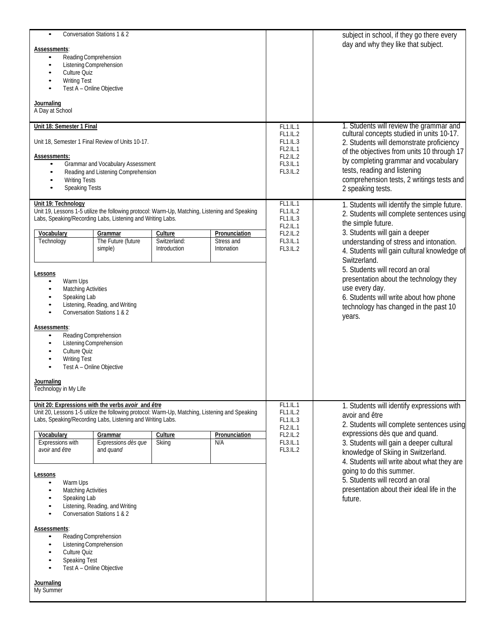| Conversation Stations 1 & 2<br>$\bullet$<br><b>Assessments:</b><br>Reading Comprehension<br>$\bullet$<br>Listening Comprehension<br>Culture Quiz<br><b>Writing Test</b><br>Test A - Online Objective<br>Journaling<br>A Day at School<br>Unit 18: Semester 1 Final<br>Unit 18, Semester 1 Final Review of Units 10-17.<br><b>Assessments:</b><br>Grammar and Vocabulary Assessment<br>$\bullet$<br>Reading and Listening Comprehension<br>$\bullet$<br><b>Writing Tests</b><br><b>Speaking Tests</b><br>$\bullet$<br>Unit 19: Technology                                                                                                                                                                                                       |  |  |                                                                                                | FL1.IL.1<br>FL1.IL.2<br>FL1.IL.3<br>FL2.IL.1<br><b>FL2.IL.2</b><br>FL3.IL.1<br>FL3.IL.2<br>FL1.IL.1                                                                                                                                                                                                                                                                                                 | subject in school, if they go there every<br>day and why they like that subject.<br>1. Students will review the grammar and<br>cultural concepts studied in units 10-17.<br>2. Students will demonstrate proficiency<br>of the objectives from units 10 through 17<br>by completing grammar and vocabulary<br>tests, reading and listening<br>comprehension tests, 2 writings tests and<br>2 speaking tests.<br>1. Students will identify the simple future. |
|------------------------------------------------------------------------------------------------------------------------------------------------------------------------------------------------------------------------------------------------------------------------------------------------------------------------------------------------------------------------------------------------------------------------------------------------------------------------------------------------------------------------------------------------------------------------------------------------------------------------------------------------------------------------------------------------------------------------------------------------|--|--|------------------------------------------------------------------------------------------------|-----------------------------------------------------------------------------------------------------------------------------------------------------------------------------------------------------------------------------------------------------------------------------------------------------------------------------------------------------------------------------------------------------|--------------------------------------------------------------------------------------------------------------------------------------------------------------------------------------------------------------------------------------------------------------------------------------------------------------------------------------------------------------------------------------------------------------------------------------------------------------|
| Unit 19, Lessons 1-5 utilize the following protocol: Warm-Up, Matching, Listening and Speaking<br>Labs, Speaking/Recording Labs, Listening and Writing Labs.<br>Vocabulary<br>Pronunciation<br>Grammar<br>Culture<br>The Future (future<br>Switzerland:<br>Stress and<br>Technology<br>simple)<br>Introduction<br>Intonation<br>Lessons<br>Warm Ups<br>٠<br><b>Matching Activities</b><br>$\bullet$<br>Speaking Lab<br>Listening, Reading, and Writing<br>٠<br>Conversation Stations 1 & 2<br>$\bullet$<br>Assessments:<br>Reading Comprehension<br>$\bullet$<br>Listening Comprehension<br>٠<br>Culture Quiz<br><b>Writing Test</b><br>Test A - Online Objective<br>$\bullet$<br>Journaling<br>Technology in My Life                          |  |  |                                                                                                | FL1.IL.2<br>FL1.IL.3<br>FL2.IL.1<br>FL2.IL.2<br>FL3.IL.1<br>FL3.IL.2                                                                                                                                                                                                                                                                                                                                | 2. Students will complete sentences using<br>the simple future.<br>3. Students will gain a deeper<br>understanding of stress and intonation.<br>4. Students will gain cultural knowledge of<br>Switzerland.<br>5. Students will record an oral<br>presentation about the technology they<br>use every day.<br>6. Students will write about how phone<br>technology has changed in the past 10<br>years.                                                      |
| Unit 20: Expressions with the verbs avoir and être<br>Unit 20, Lessons 1-5 utilize the following protocol: Warm-Up, Matching, Listening and Speaking<br>Labs, Speaking/Recording Labs, Listening and Writing Labs.<br>Vocabulary<br>Grammar<br>Pronunciation<br>Culture<br>Expressions with<br>Expressions dès que<br>Skiing<br>N/A<br>avoir and être<br>and quand<br>Lessons<br>Warm Ups<br>$\bullet$<br><b>Matching Activities</b><br>$\bullet$<br>Speaking Lab<br>$\bullet$<br>Listening, Reading, and Writing<br>$\bullet$<br>Conversation Stations 1 & 2<br><b>Assessments:</b><br>Reading Comprehension<br>$\bullet$<br>Listening Comprehension<br>Culture Quiz<br>Speaking Test<br>Test A - Online Objective<br>Journaling<br>My Summer |  |  | $\overline{FL1}$ .IL.1<br>FL1.IL.2<br>FL1.IL.3<br>FL2.IL.1<br>FL2.IL.2<br>FL3.IL.1<br>FL3.IL.2 | 1. Students will identify expressions with<br>avoir and être<br>2. Students will complete sentences using<br>expressions dès que and quand.<br>3. Students will gain a deeper cultural<br>knowledge of Skiing in Switzerland.<br>4. Students will write about what they are<br>going to do this summer.<br>5. Students will record an oral<br>presentation about their ideal life in the<br>future. |                                                                                                                                                                                                                                                                                                                                                                                                                                                              |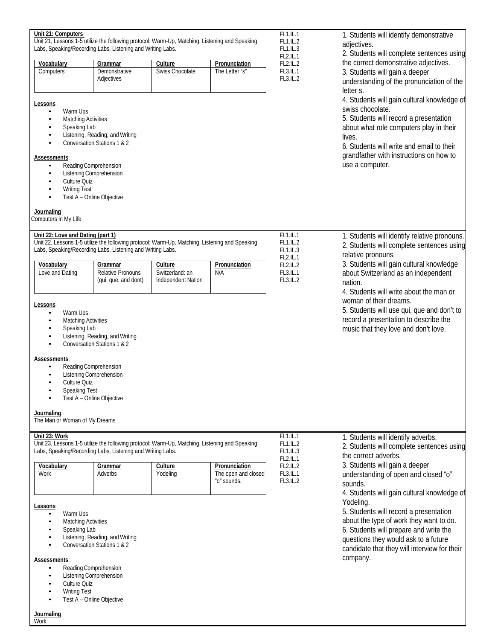| Unit 21: Computers<br>Unit 21, Lessons 1-5 utilize the following protocol: Warm-Up, Matching, Listening and Speaking                |                                                                |                                       | FL1.IL.1<br>FL1.IL.2               | 1. Students will identify demonstrative<br>adjectives.<br>2. Students will complete sentences using |                                                                                      |  |
|-------------------------------------------------------------------------------------------------------------------------------------|----------------------------------------------------------------|---------------------------------------|------------------------------------|-----------------------------------------------------------------------------------------------------|--------------------------------------------------------------------------------------|--|
| Labs, Speaking/Recording Labs, Listening and Writing Labs.                                                                          |                                                                |                                       | FL1.IL.3                           |                                                                                                     |                                                                                      |  |
| Vocabulary                                                                                                                          | Grammar                                                        | Culture                               | Pronunciation                      | <b>FL2.IL.1</b><br>FL2.IL.2                                                                         | the correct demonstrative adjectives.                                                |  |
| Computers                                                                                                                           | Demonstrative<br>Adjectives                                    | Swiss Chocolate                       | The Letter "s"                     | FL3.IL.1<br>FL3.IL.2                                                                                | 3. Students will gain a deeper<br>understanding of the pronunciation of the          |  |
|                                                                                                                                     |                                                                |                                       |                                    |                                                                                                     | letter s.                                                                            |  |
| <u>Lessons</u>                                                                                                                      |                                                                |                                       |                                    |                                                                                                     | 4. Students will gain cultural knowledge of                                          |  |
| Warm Ups<br>$\bullet$<br><b>Matching Activities</b><br>٠                                                                            |                                                                |                                       |                                    |                                                                                                     | swiss chocolate.<br>5. Students will record a presentation                           |  |
| Speaking Lab                                                                                                                        |                                                                |                                       |                                    |                                                                                                     | about what role computers play in their                                              |  |
| ٠<br>$\bullet$                                                                                                                      | Listening, Reading, and Writing<br>Conversation Stations 1 & 2 |                                       |                                    |                                                                                                     | lives.<br>6. Students will write and email to their                                  |  |
| Assessments:                                                                                                                        |                                                                |                                       |                                    |                                                                                                     | grandfather with instructions on how to                                              |  |
| ٠<br>$\bullet$                                                                                                                      | Reading Comprehension<br>Listening Comprehension               |                                       |                                    |                                                                                                     | use a computer.                                                                      |  |
| Culture Quiz<br>٠                                                                                                                   |                                                                |                                       |                                    |                                                                                                     |                                                                                      |  |
| <b>Writing Test</b><br>٠                                                                                                            | Test A - Online Objective                                      |                                       |                                    |                                                                                                     |                                                                                      |  |
| <b>Journaling</b>                                                                                                                   |                                                                |                                       |                                    |                                                                                                     |                                                                                      |  |
| Computers in My Life                                                                                                                |                                                                |                                       |                                    |                                                                                                     |                                                                                      |  |
| Unit 22: Love and Dating (part 1)<br>Unit 22, Lessons 1-5 utilize the following protocol: Warm-Up, Matching, Listening and Speaking |                                                                |                                       |                                    | FL1.IL.1<br>FL1.IL.2                                                                                | 1. Students will identify relative pronouns.                                         |  |
| Labs, Speaking/Recording Labs, Listening and Writing Labs.                                                                          |                                                                |                                       |                                    | FL1.IL.3                                                                                            | 2. Students will complete sentences using<br>relative pronouns.                      |  |
| Vocabulary                                                                                                                          | Grammar                                                        | Culture                               | Pronunciation                      | <b>FL2.IL.1</b><br>FL2.IL.2                                                                         | 3. Students will gain cultural knowledge                                             |  |
| Love and Dating                                                                                                                     | Relative Pronouns<br>(qui, que, and dont)                      | Switzerland: an<br>Independent Nation | N/A                                | FL3.IL.1<br>FL3.IL.2                                                                                | about Switzerland as an independent<br>nation.                                       |  |
|                                                                                                                                     |                                                                |                                       |                                    |                                                                                                     | 4. Students will write about the man or                                              |  |
| <b>Lessons</b>                                                                                                                      |                                                                |                                       |                                    |                                                                                                     | woman of their dreams.                                                               |  |
| Warm Ups<br>$\bullet$<br><b>Matching Activities</b><br>٠                                                                            |                                                                |                                       |                                    |                                                                                                     | 5. Students will use qui, que and don't to<br>record a presentation to describe the  |  |
| Speaking Lab                                                                                                                        |                                                                |                                       |                                    |                                                                                                     | music that they love and don't love.                                                 |  |
| ٠<br>$\bullet$                                                                                                                      | Listening, Reading, and Writing<br>Conversation Stations 1 & 2 |                                       |                                    |                                                                                                     |                                                                                      |  |
| Assessments:                                                                                                                        |                                                                |                                       |                                    |                                                                                                     |                                                                                      |  |
| Reading Comprehension<br>$\bullet$                                                                                                  | Listening Comprehension                                        |                                       |                                    |                                                                                                     |                                                                                      |  |
| Culture Quiz<br>٠                                                                                                                   |                                                                |                                       |                                    |                                                                                                     |                                                                                      |  |
| Speaking Test                                                                                                                       | Test A - Online Objective                                      |                                       |                                    |                                                                                                     |                                                                                      |  |
| Journaling                                                                                                                          |                                                                |                                       |                                    |                                                                                                     |                                                                                      |  |
| The Man or Woman of My Dreams                                                                                                       |                                                                |                                       |                                    |                                                                                                     |                                                                                      |  |
| Unit 23: Work<br>Unit 23, Lessons 1-5 utilize the following protocol: Warm-Up, Matching, Listening and Speaking                     |                                                                |                                       |                                    | FL1.IL.1<br>FL1.IL.2                                                                                | 1. Students will identify adverbs.                                                   |  |
| Labs, Speaking/Recording Labs, Listening and Writing Labs.                                                                          |                                                                |                                       |                                    | FL1.IL.3                                                                                            | 2. Students will complete sentences using<br>the correct adverbs.                    |  |
| Vocabulary                                                                                                                          | Grammar                                                        | Culture                               | Pronunciation                      | FL2.IL.1<br>FL2.IL.2                                                                                | 3. Students will gain a deeper                                                       |  |
| Work                                                                                                                                | Adverbs                                                        | Yodeling                              | The open and closed<br>"o" sounds. | FL3.IL.1<br>FL3.IL.2                                                                                | understanding of open and closed "o"<br>sounds.                                      |  |
|                                                                                                                                     |                                                                |                                       |                                    |                                                                                                     | 4. Students will gain cultural knowledge of                                          |  |
| Lessons                                                                                                                             |                                                                |                                       |                                    |                                                                                                     | Yodeling.<br>5. Students will record a presentation                                  |  |
| Warm Ups<br><b>Matching Activities</b>                                                                                              |                                                                |                                       |                                    |                                                                                                     | about the type of work they want to do.                                              |  |
| Speaking Lab<br>٠                                                                                                                   | Listening, Reading, and Writing                                |                                       |                                    | 6. Students will prepare and write the                                                              |                                                                                      |  |
| $\bullet$                                                                                                                           | Conversation Stations 1 & 2                                    |                                       |                                    |                                                                                                     | questions they would ask to a future<br>candidate that they will interview for their |  |
| Assessments:                                                                                                                        |                                                                |                                       |                                    |                                                                                                     | company.                                                                             |  |
| Reading Comprehension<br>$\bullet$                                                                                                  | Listening Comprehension                                        |                                       |                                    |                                                                                                     |                                                                                      |  |
| Culture Quiz<br>٠<br>٠                                                                                                              |                                                                |                                       |                                    |                                                                                                     |                                                                                      |  |
| <b>Writing Test</b>                                                                                                                 | Test A - Online Objective                                      |                                       |                                    |                                                                                                     |                                                                                      |  |
| <u>Journaling</u>                                                                                                                   |                                                                |                                       |                                    |                                                                                                     |                                                                                      |  |
| Work                                                                                                                                |                                                                |                                       |                                    |                                                                                                     |                                                                                      |  |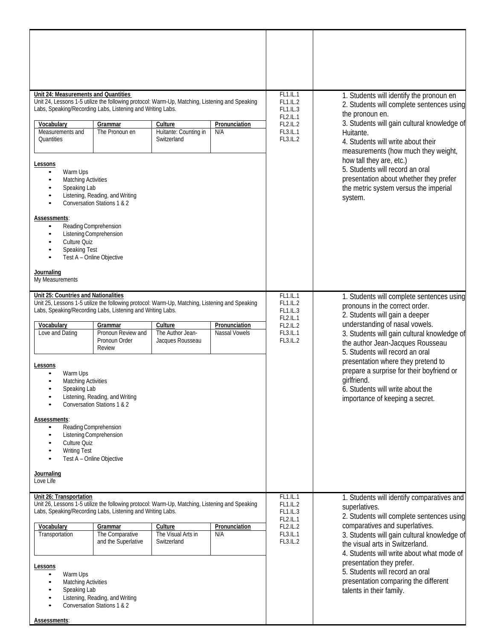| Unit 24: Measurements and Quantities<br>Unit 24, Lessons 1-5 utilize the following protocol: Warm-Up, Matching, Listening and Speaking<br>Labs, Speaking/Recording Labs, Listening and Writing Labs.                                                                                                                                                                                   |                                                                                                                           |                                                 |                      | FL1.IL.1<br><b>FL1.IL.2</b><br>FL1.IL.3<br>FL2.IL.1                                                                                                       | 1. Students will identify the pronoun en<br>2. Students will complete sentences using<br>the pronoun en.                                                                                                                                                              |  |
|----------------------------------------------------------------------------------------------------------------------------------------------------------------------------------------------------------------------------------------------------------------------------------------------------------------------------------------------------------------------------------------|---------------------------------------------------------------------------------------------------------------------------|-------------------------------------------------|----------------------|-----------------------------------------------------------------------------------------------------------------------------------------------------------|-----------------------------------------------------------------------------------------------------------------------------------------------------------------------------------------------------------------------------------------------------------------------|--|
| Vocabulary<br>Measurements and<br>Quantities                                                                                                                                                                                                                                                                                                                                           | Grammar<br>The Pronoun en                                                                                                 | Culture<br>Huitante: Counting in<br>Switzerland | Pronunciation<br>N/A | FL2.IL.2<br>FL3.IL.1<br>FL3.IL.2                                                                                                                          | 3. Students will gain cultural knowledge of<br>Huitante.<br>4. Students will write about their<br>measurements (how much they weight,                                                                                                                                 |  |
| Lessons<br>Warm Ups<br><b>Matching Activities</b><br>Speaking Lab                                                                                                                                                                                                                                                                                                                      | Listening, Reading, and Writing<br>Conversation Stations 1 & 2                                                            |                                                 |                      | how tall they are, etc.)<br>5. Students will record an oral<br>presentation about whether they prefer<br>the metric system versus the imperial<br>system. |                                                                                                                                                                                                                                                                       |  |
| Assessments:<br>Reading Comprehension<br>$\bullet$<br>Listening Comprehension<br>Culture Quiz<br><b>Speaking Test</b><br>Test A - Online Objective<br>$\bullet$                                                                                                                                                                                                                        |                                                                                                                           |                                                 |                      |                                                                                                                                                           |                                                                                                                                                                                                                                                                       |  |
| Journaling<br>My Measurements                                                                                                                                                                                                                                                                                                                                                          |                                                                                                                           |                                                 |                      |                                                                                                                                                           |                                                                                                                                                                                                                                                                       |  |
| Unit 25: Countries and Nationalities<br>Unit 25, Lessons 1-5 utilize the following protocol: Warm-Up, Matching, Listening and Speaking<br>Labs, Speaking/Recording Labs, Listening and Writing Labs.<br>Pronunciation<br>Vocabulary<br>Grammar<br>Culture<br>The Author Jean-<br>Pronoun Review and<br>Love and Dating<br>Nassal Vowels<br>Pronoun Order<br>Jacques Rousseau<br>Review |                                                                                                                           |                                                 |                      | FL1.IL.1<br>FL1.IL.2<br>FL1.IL.3<br>FL2.IL.1<br><b>FL2.IL.2</b><br>FL3.IL.1<br>FL3.IL.2                                                                   | 1. Students will complete sentences using<br>pronouns in the correct order.<br>2. Students will gain a deeper<br>understanding of nasal vowels.<br>3. Students will gain cultural knowledge of<br>the author Jean-Jacques Rousseau<br>5. Students will record an oral |  |
| Lessons<br>Warm Ups<br><b>Matching Activities</b><br>Speaking Lab<br>Listening, Reading, and Writing<br>Conversation Stations 1 & 2                                                                                                                                                                                                                                                    |                                                                                                                           |                                                 |                      |                                                                                                                                                           | presentation where they pretend to<br>prepare a surprise for their boyfriend or<br>girlfriend.<br>6. Students will write about the<br>importance of keeping a secret.                                                                                                 |  |
| Assessments:<br>Reading Comprehension<br>Listening Comprehension<br>Culture Quiz<br><b>Writing Test</b><br>Test A - Online Objective<br>$\bullet$                                                                                                                                                                                                                                      |                                                                                                                           |                                                 |                      |                                                                                                                                                           |                                                                                                                                                                                                                                                                       |  |
| Journaling<br>Love Life                                                                                                                                                                                                                                                                                                                                                                |                                                                                                                           |                                                 |                      |                                                                                                                                                           |                                                                                                                                                                                                                                                                       |  |
| Unit 26: Transportation<br>Unit 26, Lessons 1-5 utilize the following protocol: Warm-Up, Matching, Listening and Speaking<br>Labs, Speaking/Recording Labs, Listening and Writing Labs.                                                                                                                                                                                                |                                                                                                                           |                                                 |                      | FL1.IL.1<br>FL1.IL.2<br>FL1.IL.3<br>FL2.IL.1                                                                                                              | 1. Students will identify comparatives and<br>superlatives.<br>2. Students will complete sentences using                                                                                                                                                              |  |
| Vocabulary<br>Transportation                                                                                                                                                                                                                                                                                                                                                           | Culture<br>Pronunciation<br>Grammar<br>The Comparative<br>The Visual Arts in<br>N/A<br>and the Superlative<br>Switzerland |                                                 |                      |                                                                                                                                                           | comparatives and superlatives.<br>3. Students will gain cultural knowledge of<br>the visual arts in Switzerland.<br>4. Students will write about what mode of                                                                                                         |  |
| Lessons<br>Warm Ups<br><b>Matching Activities</b><br>Speaking Lab                                                                                                                                                                                                                                                                                                                      | Listening, Reading, and Writing<br>Conversation Stations 1 & 2                                                            |                                                 |                      |                                                                                                                                                           | presentation they prefer.<br>5. Students will record an oral<br>presentation comparing the different<br>talents in their family.                                                                                                                                      |  |
| Assessments:                                                                                                                                                                                                                                                                                                                                                                           |                                                                                                                           |                                                 |                      |                                                                                                                                                           |                                                                                                                                                                                                                                                                       |  |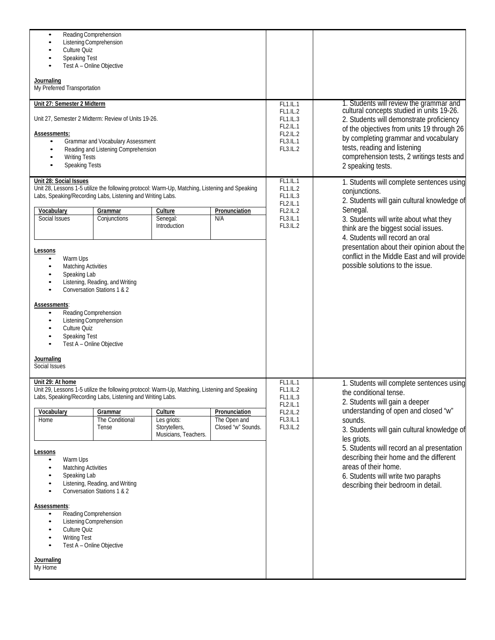| Reading Comprehension<br>$\bullet$<br>Culture Quiz<br>Speaking Test<br>Journaling<br>My Preferred Transportation<br>Unit 27: Semester 2 Midterm                                                                                                                                                                                                                         | Listening Comprehension<br>Test A - Online Objective                     |                                                                                                                                       |                                                                                                | FL1.IL.1                                                                                                                                                                                                | 1. Students will review the grammar and                                                                                                                                                                                                                                       |  |
|-------------------------------------------------------------------------------------------------------------------------------------------------------------------------------------------------------------------------------------------------------------------------------------------------------------------------------------------------------------------------|--------------------------------------------------------------------------|---------------------------------------------------------------------------------------------------------------------------------------|------------------------------------------------------------------------------------------------|---------------------------------------------------------------------------------------------------------------------------------------------------------------------------------------------------------|-------------------------------------------------------------------------------------------------------------------------------------------------------------------------------------------------------------------------------------------------------------------------------|--|
| Unit 27, Semester 2 Midterm: Review of Units 19-26.<br>Assessments:<br>$\bullet$<br><b>Writing Tests</b><br>٠<br><b>Speaking Tests</b>                                                                                                                                                                                                                                  | Grammar and Vocabulary Assessment<br>Reading and Listening Comprehension |                                                                                                                                       |                                                                                                | FL1.IL.2<br>FL1.IL.3<br>FL2.IL.1<br>FL2.IL.2<br>FL3.IL.1<br>FL3.IL.2                                                                                                                                    | cultural concepts studied in units 19-26.<br>2. Students will demonstrate proficiency<br>of the objectives from units 19 through 26<br>by completing grammar and vocabulary<br>tests, reading and listening<br>comprehension tests, 2 writings tests and<br>2 speaking tests. |  |
| Unit 28: Social Issues<br>Labs, Speaking/Recording Labs, Listening and Writing Labs.<br>Vocabulary<br>Social Issues                                                                                                                                                                                                                                                     | Grammar<br>Conjunctions                                                  | Unit 28, Lessons 1-5 utilize the following protocol: Warm-Up, Matching, Listening and Speaking<br>Culture<br>Senegal:<br>Introduction | FL1.IL.1<br><b>FL1.IL.2</b><br>FL1.IL.3<br>FL2.IL.1<br><b>FL2.IL.2</b><br>FL3.IL.1<br>FL3.IL.2 | 1. Students will complete sentences using<br>conjunctions.<br>2. Students will gain cultural knowledge of<br>Senegal.<br>3. Students will write about what they<br>think are the biggest social issues. |                                                                                                                                                                                                                                                                               |  |
| Lessons<br>Warm Ups<br><b>Matching Activities</b><br>Speaking Lab<br>$\bullet$                                                                                                                                                                                                                                                                                          | Listening, Reading, and Writing<br>Conversation Stations 1 & 2           |                                                                                                                                       |                                                                                                | 4. Students will record an oral<br>presentation about their opinion about the<br>conflict in the Middle East and will provide<br>possible solutions to the issue.                                       |                                                                                                                                                                                                                                                                               |  |
| Assessments:<br>Reading Comprehension<br>Culture Quiz<br>Speaking Test<br>$\bullet$                                                                                                                                                                                                                                                                                     | Listening Comprehension<br>Test A - Online Objective                     |                                                                                                                                       |                                                                                                |                                                                                                                                                                                                         |                                                                                                                                                                                                                                                                               |  |
| Journaling<br>Social Issues                                                                                                                                                                                                                                                                                                                                             |                                                                          |                                                                                                                                       |                                                                                                |                                                                                                                                                                                                         |                                                                                                                                                                                                                                                                               |  |
| Unit 29: At home<br>Unit 29, Lessons 1-5 utilize the following protocol: Warm-Up, Matching, Listening and Speaking<br>Labs, Speaking/Recording Labs, Listening and Writing Labs.<br>Vocabulary<br>Culture<br>Pronunciation<br>Grammar<br>The Conditional<br>Les griots:<br>The Open and<br>Home<br>Storytellers,<br>Closed "w" Sounds.<br>Tense<br>Musicians, Teachers. |                                                                          |                                                                                                                                       |                                                                                                | <b>FL1.IL.1</b><br>FL1.IL.2<br>FL1.IL.3<br>FL2.IL.1<br><b>FL2.IL.2</b><br>FL3.IL.1<br>FL3.IL.2                                                                                                          | 1. Students will complete sentences using<br>the conditional tense.<br>2. Students will gain a deeper<br>understanding of open and closed "w"<br>sounds.<br>3. Students will gain cultural knowledge of<br>les griots.                                                        |  |
| Lessons<br>Warm Ups<br><b>Matching Activities</b><br>Speaking Lab                                                                                                                                                                                                                                                                                                       | Listening, Reading, and Writing<br>Conversation Stations 1 & 2           |                                                                                                                                       |                                                                                                | 5. Students will record an al presentation<br>describing their home and the different<br>areas of their home.<br>6. Students will write two paraphs<br>describing their bedroom in detail.              |                                                                                                                                                                                                                                                                               |  |
| <b>Assessments:</b><br>Reading Comprehension<br>Culture Quiz<br><b>Writing Test</b>                                                                                                                                                                                                                                                                                     | Listening Comprehension<br>Test A - Online Objective                     |                                                                                                                                       |                                                                                                |                                                                                                                                                                                                         |                                                                                                                                                                                                                                                                               |  |
| Journaling<br>My Home                                                                                                                                                                                                                                                                                                                                                   |                                                                          |                                                                                                                                       |                                                                                                |                                                                                                                                                                                                         |                                                                                                                                                                                                                                                                               |  |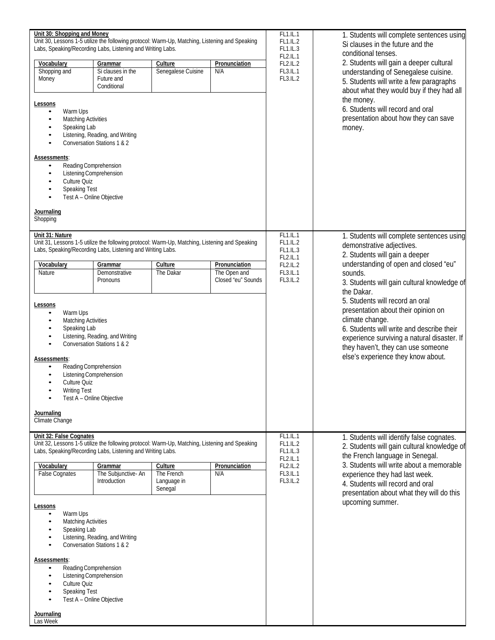| Unit 30: Shopping and Money                                                                                                         | Unit 30, Lessons 1-5 utilize the following protocol: Warm-Up, Matching, Listening and Speaking<br>Labs, Speaking/Recording Labs, Listening and Writing Labs.                                         |                                                 | FL1.IL.1<br><b>FL1.IL.2</b><br>FL1.IL.3             | 1. Students will complete sentences using<br>Si clauses in the future and the<br>conditional tenses.                                                                                                                        |                                                                                                                                                                                                                                                                                            |
|-------------------------------------------------------------------------------------------------------------------------------------|------------------------------------------------------------------------------------------------------------------------------------------------------------------------------------------------------|-------------------------------------------------|-----------------------------------------------------|-----------------------------------------------------------------------------------------------------------------------------------------------------------------------------------------------------------------------------|--------------------------------------------------------------------------------------------------------------------------------------------------------------------------------------------------------------------------------------------------------------------------------------------|
| Vocabulary<br>Shopping and<br>Money                                                                                                 | Grammar<br>Si clauses in the<br>Future and<br>Conditional                                                                                                                                            | Culture<br>Senegalese Cuisine                   | Pronunciation<br>N/A                                | <b>FL2.IL.2</b><br>FL3.IL.1<br>FL3.IL.2                                                                                                                                                                                     | <b>FL2.IL.1</b><br>2. Students will gain a deeper cultural<br>understanding of Senegalese cuisine.<br>5. Students will write a few paragraphs<br>about what they would buy if they had all                                                                                                 |
| Lessons<br>Warm Ups<br>$\bullet$<br><b>Matching Activities</b><br>$\bullet$<br>Speaking Lab<br>٠<br>$\bullet$<br>$\bullet$          | Listening, Reading, and Writing<br>Conversation Stations 1 & 2                                                                                                                                       |                                                 |                                                     | the money.<br>6. Students will record and oral<br>presentation about how they can save<br>money.                                                                                                                            |                                                                                                                                                                                                                                                                                            |
| Assessments:<br>Culture Quiz<br>$\bullet$<br><b>Speaking Test</b><br>$\bullet$                                                      | Reading Comprehension<br>Listening Comprehension<br>Test A - Online Objective                                                                                                                        |                                                 |                                                     |                                                                                                                                                                                                                             |                                                                                                                                                                                                                                                                                            |
| Journaling<br>Shopping                                                                                                              |                                                                                                                                                                                                      |                                                 |                                                     |                                                                                                                                                                                                                             |                                                                                                                                                                                                                                                                                            |
| Unit 31: Nature<br>Vocabulary<br>Nature                                                                                             | Unit 31, Lessons 1-5 utilize the following protocol: Warm-Up, Matching, Listening and Speaking<br>Labs, Speaking/Recording Labs, Listening and Writing Labs.<br>Grammar<br>Demonstrative<br>Pronouns | Culture<br>The Dakar                            | Pronunciation<br>The Open and<br>Closed "eu" Sounds | FL1.IL.1<br><b>FL1.IL.2</b><br>FL1.IL.3<br><b>FL2.IL.1</b><br><b>FL2.IL.2</b><br>FL3.IL.1<br>FL3.IL.2                                                                                                                       | 1. Students will complete sentences using<br>demonstrative adjectives.<br>2. Students will gain a deeper<br>understanding of open and closed "eu"<br>sounds.<br>3. Students will gain cultural knowledge of<br>the Dakar.                                                                  |
| Lessons<br>Warm Ups<br>$\bullet$<br><b>Matching Activities</b><br>$\bullet$<br>Speaking Lab<br>٠<br>$\bullet$<br>$\bullet$          | Listening, Reading, and Writing<br>Conversation Stations 1 & 2                                                                                                                                       |                                                 |                                                     | 5. Students will record an oral<br>presentation about their opinion on<br>climate change.<br>6. Students will write and describe their<br>experience surviving a natural disaster. If<br>they haven't, they can use someone |                                                                                                                                                                                                                                                                                            |
| Assessments:<br>Culture Quiz<br><b>Writing Test</b>                                                                                 | Reading Comprehension<br>Listening Comprehension<br>Test A - Online Objective                                                                                                                        |                                                 |                                                     |                                                                                                                                                                                                                             | else's experience they know about.                                                                                                                                                                                                                                                         |
| Journaling<br>Climate Change                                                                                                        |                                                                                                                                                                                                      |                                                 |                                                     |                                                                                                                                                                                                                             |                                                                                                                                                                                                                                                                                            |
| Unit 32: False Cognates                                                                                                             | Unit 32, Lessons 1-5 utilize the following protocol: Warm-Up, Matching, Listening and Speaking<br>Labs, Speaking/Recording Labs, Listening and Writing Labs.                                         |                                                 |                                                     | FL1.L.1<br>FL1.IL.2<br>FL1.IL.3<br><b>FL2.IL.1</b><br><b>FL2.IL.2</b><br>FL3.IL.1<br>FL3.IL.2                                                                                                                               | 1. Students will identify false cognates.<br>2. Students will gain cultural knowledge of<br>the French language in Senegal.<br>3. Students will write about a memorable<br>experience they had last week.<br>4. Students will record and oral<br>presentation about what they will do this |
| Vocabulary<br><b>False Cognates</b>                                                                                                 | Grammar<br>The Subjunctive-An<br>Introduction                                                                                                                                                        | Culture<br>The French<br>Language in<br>Senegal | Pronunciation<br>N/A                                |                                                                                                                                                                                                                             |                                                                                                                                                                                                                                                                                            |
| Lessons<br>Warm Ups<br><b>Matching Activities</b><br>Speaking Lab<br>Listening, Reading, and Writing<br>Conversation Stations 1 & 2 |                                                                                                                                                                                                      |                                                 |                                                     | upcoming summer.                                                                                                                                                                                                            |                                                                                                                                                                                                                                                                                            |
| Assessments:<br>$\bullet$<br>٠<br>Culture Quiz<br><b>Speaking Test</b>                                                              | Reading Comprehension<br>Listening Comprehension<br>Test A - Online Objective                                                                                                                        |                                                 |                                                     |                                                                                                                                                                                                                             |                                                                                                                                                                                                                                                                                            |
| Journaling<br>Las Week                                                                                                              |                                                                                                                                                                                                      |                                                 |                                                     |                                                                                                                                                                                                                             |                                                                                                                                                                                                                                                                                            |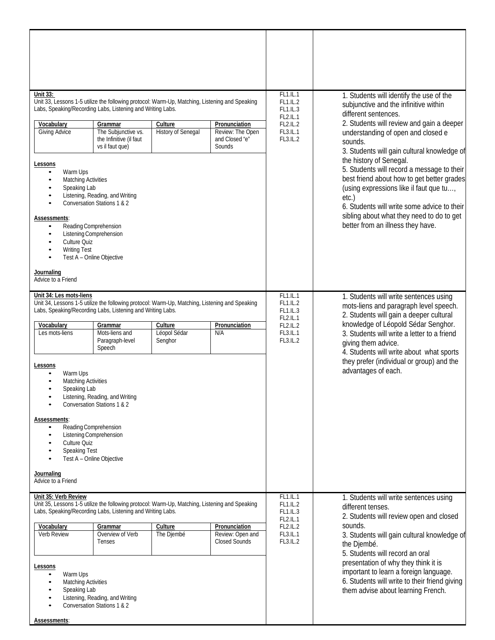| Unit 33:<br>Unit 33, Lessons 1-5 utilize the following protocol: Warm-Up, Matching, Listening and Speaking<br>Labs, Speaking/Recording Labs, Listening and Writing Labs.                                                                                                                                                                                                                                                                                                                                                                                                                                                                                                  |                                                                                                                                                                             |                                      | FL1.IL.1<br><b>FL1.IL.2</b><br>FL1.IL.3                       | 1. Students will identify the use of the<br>subjunctive and the infinitive within<br>different sentences. |                                                                                                                                                                                                                                                                                                                                                                                                                                                          |
|---------------------------------------------------------------------------------------------------------------------------------------------------------------------------------------------------------------------------------------------------------------------------------------------------------------------------------------------------------------------------------------------------------------------------------------------------------------------------------------------------------------------------------------------------------------------------------------------------------------------------------------------------------------------------|-----------------------------------------------------------------------------------------------------------------------------------------------------------------------------|--------------------------------------|---------------------------------------------------------------|-----------------------------------------------------------------------------------------------------------|----------------------------------------------------------------------------------------------------------------------------------------------------------------------------------------------------------------------------------------------------------------------------------------------------------------------------------------------------------------------------------------------------------------------------------------------------------|
| Vocabulary<br>Giving Advice<br>Lessons<br>Warm Ups<br><b>Matching Activities</b><br>٠<br>Speaking Lab<br>٠<br>$\bullet$<br>Assessments:<br>Reading Comprehension<br>٠<br>Listening Comprehension<br>Culture Quiz<br>$\bullet$<br><b>Writing Test</b><br>$\bullet$<br>Journaling<br>Advice to a Friend                                                                                                                                                                                                                                                                                                                                                                     | Grammar<br>The Subjunctive vs.<br>the Infinitive (il faut<br>vs il faut que)<br>Listening, Reading, and Writing<br>Conversation Stations 1 & 2<br>Test A - Online Objective | Culture<br><b>History of Senegal</b> | Pronunciation<br>Review: The Open<br>and Closed "e"<br>Sounds | <b>FL2.IL.1</b><br><b>FL2.IL.2</b><br>FL3.IL.1<br>FL3.IL.2                                                | 2. Students will review and gain a deeper<br>understanding of open and closed e<br>sounds.<br>3. Students will gain cultural knowledge of<br>the history of Senegal.<br>5. Students will record a message to their<br>best friend about how to get better grades<br>(using expressions like il faut que tu,<br>$etc.$ )<br>6. Students will write some advice to their<br>sibling about what they need to do to get<br>better from an illness they have. |
| Unit 34: Les mots-liens<br>Unit 34, Lessons 1-5 utilize the following protocol: Warm-Up, Matching, Listening and Speaking<br>Labs, Speaking/Recording Labs, Listening and Writing Labs.<br>Vocabulary<br>Culture<br>Pronunciation<br>Grammar<br>Léopol Sédar<br>Les mots-liens<br>Mots-liens and<br>N/A<br>Paragraph-level<br>Senghor<br>Speech<br>Lessons<br>Warm Ups<br><b>Matching Activities</b><br>Speaking Lab<br>Listening, Reading, and Writing<br>Conversation Stations 1 & 2<br>Assessments:<br>Reading Comprehension<br>Listening Comprehension<br>$\bullet$<br>Culture Quiz<br>Speaking Test<br>Test A - Online Objective<br>Journaling<br>Advice to a Friend |                                                                                                                                                                             |                                      |                                                               | FL1.IL.1<br><b>FL1.IL.2</b><br>FL1.IL.3<br><b>FL2.IL.1</b><br><b>FL2.IL.2</b><br>FL3.IL.1<br>FL3.IL.2     | 1. Students will write sentences using<br>mots-liens and paragraph level speech.<br>2. Students will gain a deeper cultural<br>knowledge of Léopold Sédar Senghor.<br>3. Students will write a letter to a friend<br>giving them advice.<br>4. Students will write about what sports<br>they prefer (individual or group) and the<br>advantages of each.                                                                                                 |
| Unit 35: Verb Review<br>Unit 35, Lessons 1-5 utilize the following protocol: Warm-Up, Matching, Listening and Speaking<br>Labs, Speaking/Recording Labs, Listening and Writing Labs.<br>Vocabulary<br>Culture<br>Pronunciation<br>Grammar<br>Overview of Verb<br>Verb Review<br>The Djembé<br>Review: Open and<br><b>Closed Sounds</b><br>Tenses<br>Lessons<br>Warm Ups<br><b>Matching Activities</b><br>$\bullet$<br>Speaking Lab<br>Listening, Reading, and Writing<br>٠<br>Conversation Stations 1 & 2<br>$\bullet$<br>Assessments:                                                                                                                                    |                                                                                                                                                                             |                                      |                                                               | FL1.IL.1<br><b>FL1.IL.2</b><br>FL1.IL.3<br><b>FL2.IL.1</b><br>FL2.IL.2<br>FL3.IL.1<br>FL3.IL.2            | 1. Students will write sentences using<br>different tenses.<br>2. Students will review open and closed<br>sounds.<br>3. Students will gain cultural knowledge of<br>the Djembé.<br>5. Students will record an oral<br>presentation of why they think it is<br>important to learn a foreign language.<br>6. Students will write to their friend giving<br>them advise about learning French.                                                              |